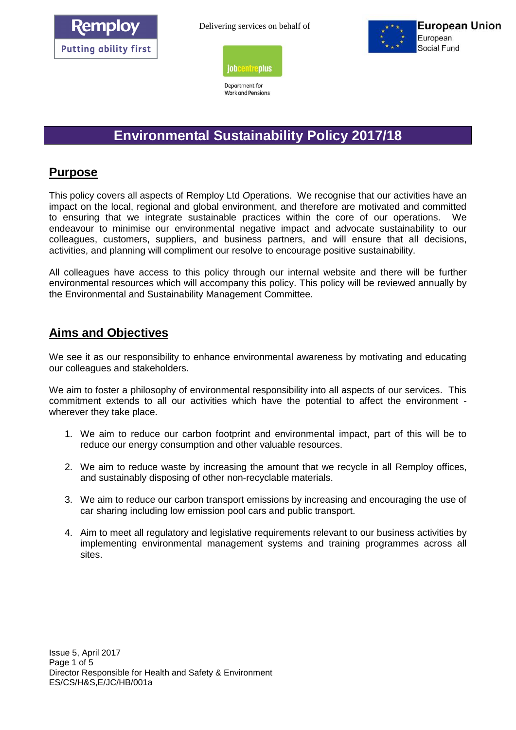



Department for Work and Pensions



# **Environmental Sustainability Policy 2017/18**

### **Purpose**

This policy covers all aspects of Remploy Ltd *O*perations. We recognise that our activities have an impact on the local, regional and global environment, and therefore are motivated and committed to ensuring that we integrate sustainable practices within the core of our operations. We endeavour to minimise our environmental negative impact and advocate sustainability to our colleagues, customers, suppliers, and business partners, and will ensure that all decisions, activities, and planning will compliment our resolve to encourage positive sustainability.

All colleagues have access to this policy through our internal website and there will be further environmental resources which will accompany this policy. This policy will be reviewed annually by the Environmental and Sustainability Management Committee.

### **Aims and Objectives**

We see it as our responsibility to enhance environmental awareness by motivating and educating our colleagues and stakeholders.

We aim to foster a philosophy of environmental responsibility into all aspects of our services. This commitment extends to all our activities which have the potential to affect the environment wherever they take place.

- 1. We aim to reduce our carbon footprint and environmental impact, part of this will be to reduce our energy consumption and other valuable resources.
- 2. We aim to reduce waste by increasing the amount that we recycle in all Remploy offices, and sustainably disposing of other non-recyclable materials.
- 3. We aim to reduce our carbon transport emissions by increasing and encouraging the use of car sharing including low emission pool cars and public transport.
- 4. Aim to meet all regulatory and legislative requirements relevant to our business activities by implementing environmental management systems and training programmes across all sites.

Issue 5, April 2017 Page 1 of 5 Director Responsible for Health and Safety & Environment ES/CS/H&S,E/JC/HB/001a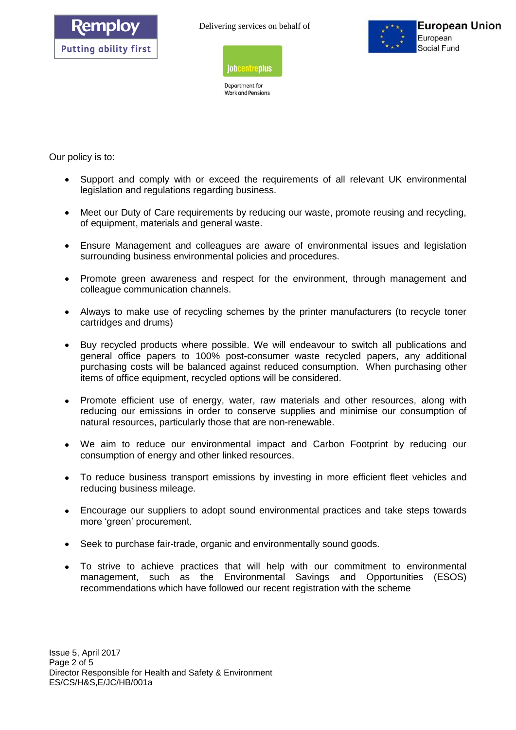



Department for Work and Pensions



Our policy is to:

- Support and comply with or exceed the requirements of all relevant UK environmental legislation and regulations regarding business.
- Meet our Duty of Care requirements by reducing our waste, promote reusing and recycling, of equipment, materials and general waste.
- Ensure Management and colleagues are aware of environmental issues and legislation surrounding business environmental policies and procedures.
- Promote green awareness and respect for the environment, through management and colleague communication channels.
- Always to make use of recycling schemes by the printer manufacturers (to recycle toner cartridges and drums)
- Buy recycled products where possible. We will endeavour to switch all publications and general office papers to 100% post-consumer waste recycled papers, any additional purchasing costs will be balanced against reduced consumption. When purchasing other items of office equipment, recycled options will be considered.
- Promote efficient use of energy, water, raw materials and other resources, along with reducing our emissions in order to conserve supplies and minimise our consumption of natural resources, particularly those that are non-renewable.
- We aim to reduce our environmental impact and Carbon Footprint by reducing our consumption of energy and other linked resources.
- To reduce business transport emissions by investing in more efficient fleet vehicles and reducing business mileage.
- Encourage our suppliers to adopt sound environmental practices and take steps towards more 'green' procurement.
- Seek to purchase fair-trade, organic and environmentally sound goods.
- To strive to achieve practices that will help with our commitment to environmental management, such as the Environmental Savings and Opportunities (ESOS) recommendations which have followed our recent registration with the scheme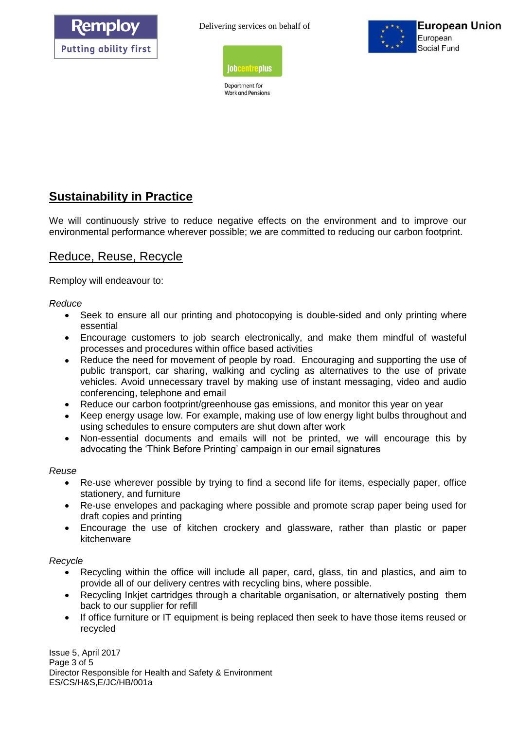



Department for Work and Pensions



# **Sustainability in Practice**

We will continuously strive to reduce negative effects on the environment and to improve our environmental performance wherever possible; we are committed to reducing our carbon footprint.

### Reduce, Reuse, Recycle

Remploy will endeavour to:

*Reduce* 

- Seek to ensure all our printing and photocopying is double-sided and only printing where essential
- Encourage customers to job search electronically, and make them mindful of wasteful processes and procedures within office based activities
- Reduce the need for movement of people by road. Encouraging and supporting the use of public transport, car sharing, walking and cycling as alternatives to the use of private vehicles. Avoid unnecessary travel by making use of instant messaging, video and audio conferencing, telephone and email
- Reduce our carbon footprint/greenhouse gas emissions, and monitor this year on year
- Keep energy usage low. For example, making use of low energy light bulbs throughout and using schedules to ensure computers are shut down after work
- Non-essential documents and emails will not be printed, we will encourage this by advocating the 'Think Before Printing' campaign in our email signatures

*Reuse* 

- Re-use wherever possible by trying to find a second life for items, especially paper, office stationery, and furniture
- Re-use envelopes and packaging where possible and promote scrap paper being used for draft copies and printing
- Encourage the use of kitchen crockery and glassware, rather than plastic or paper kitchenware

#### *Recycle*

- Recycling within the office will include all paper, card, glass, tin and plastics, and aim to provide all of our delivery centres with recycling bins, where possible.
- Recycling Inkjet cartridges through a charitable organisation, or alternatively posting them back to our supplier for refill
- If office furniture or IT equipment is being replaced then seek to have those items reused or recycled

Issue 5, April 2017 Page 3 of 5 Director Responsible for Health and Safety & Environment ES/CS/H&S,E/JC/HB/001a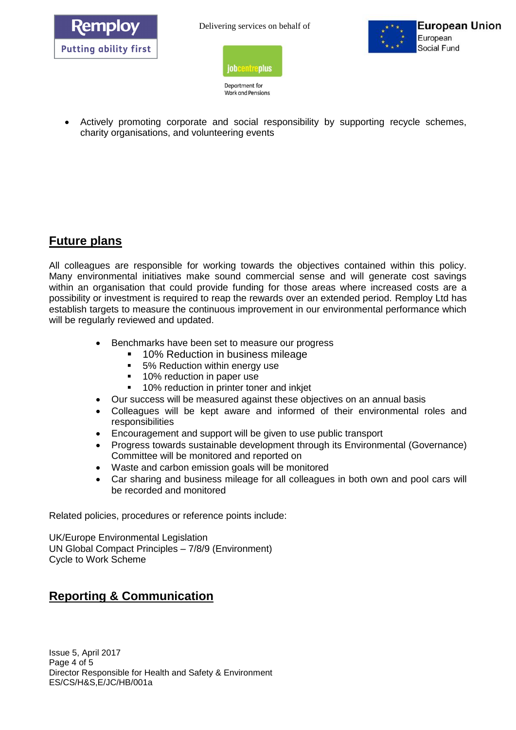





Department for Work and Pensions

 Actively promoting corporate and social responsibility by supporting recycle schemes, charity organisations, and volunteering events

## **Future plans**

All colleagues are responsible for working towards the objectives contained within this policy. Many environmental initiatives make sound commercial sense and will generate cost savings within an organisation that could provide funding for those areas where increased costs are a possibility or investment is required to reap the rewards over an extended period. Remploy Ltd has establish targets to measure the continuous improvement in our environmental performance which will be regularly reviewed and updated.

- Benchmarks have been set to measure our progress
	- 10% Reduction in business mileage
	- 5% Reduction within energy use
	- **10% reduction in paper use**
	- 10% reduction in printer toner and inkjet
- Our success will be measured against these objectives on an annual basis
- Colleagues will be kept aware and informed of their environmental roles and responsibilities
- Encouragement and support will be given to use public transport
- Progress towards sustainable development through its Environmental (Governance) Committee will be monitored and reported on
- Waste and carbon emission goals will be monitored
- Car sharing and business mileage for all colleagues in both own and pool cars will be recorded and monitored

Related policies, procedures or reference points include:

UK/Europe Environmental Legislation UN Global Compact Principles – 7/8/9 (Environment) Cycle to Work Scheme

# **Reporting & Communication**

Issue 5, April 2017 Page 4 of 5 Director Responsible for Health and Safety & Environment ES/CS/H&S,E/JC/HB/001a